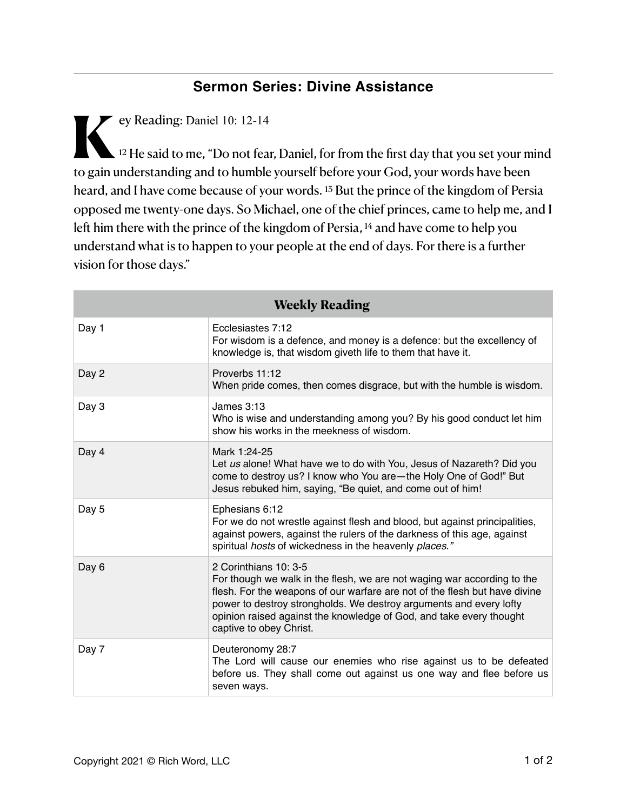## **Sermon Series: Divine Assistance**

**K**ey Reading: Daniel 10: 12-14  $\lambda$  <sup>12</sup> He said to me, "Do not fear, Daniel, for from the first day that you set your mind to gain understanding and to humble yourself before your God, your words have been heard, and I have come because of your words. 13 But the prince of the kingdom of Persia opposed me twenty-one days. So Michael, one of the chief princes, came to help me, and I left him there with the prince of the kingdom of Persia, <sup>14</sup> and have come to help you understand what is to happen to your people at the end of days. For there is a further vision for those days."

| <b>Weekly Reading</b> |                                                                                                                                                                                                                                                                                                                                                        |
|-----------------------|--------------------------------------------------------------------------------------------------------------------------------------------------------------------------------------------------------------------------------------------------------------------------------------------------------------------------------------------------------|
| Day 1                 | Ecclesiastes 7:12<br>For wisdom is a defence, and money is a defence: but the excellency of<br>knowledge is, that wisdom giveth life to them that have it.                                                                                                                                                                                             |
| Day 2                 | Proverbs 11:12<br>When pride comes, then comes disgrace, but with the humble is wisdom.                                                                                                                                                                                                                                                                |
| Day 3                 | James 3:13<br>Who is wise and understanding among you? By his good conduct let him<br>show his works in the meekness of wisdom.                                                                                                                                                                                                                        |
| Day 4                 | Mark 1:24-25<br>Let us alone! What have we to do with You, Jesus of Nazareth? Did you<br>come to destroy us? I know who You are-the Holy One of God!" But<br>Jesus rebuked him, saying, "Be quiet, and come out of him!                                                                                                                                |
| Day 5                 | Ephesians 6:12<br>For we do not wrestle against flesh and blood, but against principalities,<br>against powers, against the rulers of the darkness of this age, against<br>spiritual hosts of wickedness in the heavenly places."                                                                                                                      |
| Day 6                 | 2 Corinthians 10: 3-5<br>For though we walk in the flesh, we are not waging war according to the<br>flesh. For the weapons of our warfare are not of the flesh but have divine<br>power to destroy strongholds. We destroy arguments and every lofty<br>opinion raised against the knowledge of God, and take every thought<br>captive to obey Christ. |
| Day 7                 | Deuteronomy 28:7<br>The Lord will cause our enemies who rise against us to be defeated<br>before us. They shall come out against us one way and flee before us<br>seven ways.                                                                                                                                                                          |